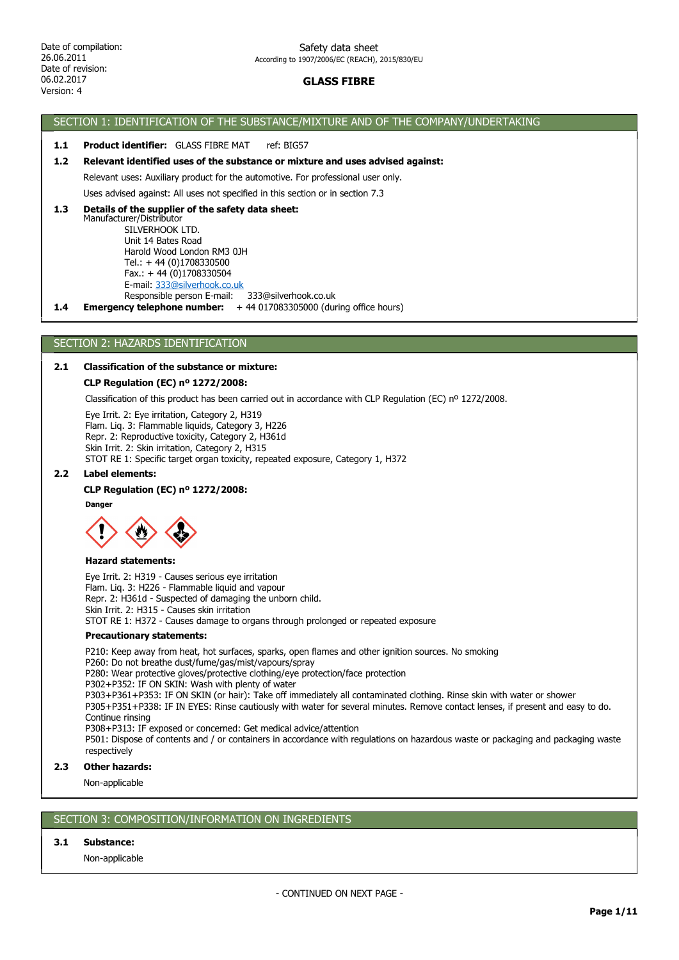# GLASS FIBRE

# SECTION 1: IDENTIFICATION OF THE SUBSTANCE/MIXTURE AND OF THE COMPANY/UNDERTAKING

### 1.1 Product identifier: GLASS FIBRE MAT ref: BIG57

### 1.2 Relevant identified uses of the substance or mixture and uses advised against:

Relevant uses: Auxiliary product for the automotive. For professional user only.

Uses advised against: All uses not specified in this section or in section 7.3

#### Manufacturer/Distributor SILVERHOOK LTD. Unit 14 Bates Road Harold Wood London RM3 0JH 1.3 Details of the supplier of the safety data sheet:

 Tel.: + 44 (0)1708330500 Fax.: + 44 (0)1708330504 E-mail: 333@silverhook.co.uk

Responsible person E-mail: 333@silverhook.co.uk

1.4 Emergency telephone number: +44 017083305000 (during office hours)

# SECTION 2: HAZARDS IDENTIFICATION

## 2.1 Classification of the substance or mixture:

#### CLP Regulation (EC) nº 1272/2008:

Classification of this product has been carried out in accordance with CLP Regulation (EC) nº 1272/2008.

Eye Irrit. 2: Eye irritation, Category 2, H319 Flam. Liq. 3: Flammable liquids, Category 3, H226 Repr. 2: Reproductive toxicity, Category 2, H361d Skin Irrit. 2: Skin irritation, Category 2, H315 STOT RE 1: Specific target organ toxicity, repeated exposure, Category 1, H372

#### 2.2 Label elements:

#### CLP Regulation (EC) nº 1272/2008:

**Danger** 



#### Hazard statements:

Eye Irrit. 2: H319 - Causes serious eye irritation Flam. Liq. 3: H226 - Flammable liquid and vapour Repr. 2: H361d - Suspected of damaging the unborn child. Skin Irrit. 2: H315 - Causes skin irritation STOT RE 1: H372 - Causes damage to organs through prolonged or repeated exposure

#### Precautionary statements:

P210: Keep away from heat, hot surfaces, sparks, open flames and other ignition sources. No smoking

P260: Do not breathe dust/fume/gas/mist/vapours/spray

P280: Wear protective gloves/protective clothing/eye protection/face protection

P302+P352: IF ON SKIN: Wash with plenty of water

P303+P361+P353: IF ON SKIN (or hair): Take off immediately all contaminated clothing. Rinse skin with water or shower

P305+P351+P338: IF IN EYES: Rinse cautiously with water for several minutes. Remove contact lenses, if present and easy to do. Continue rinsing

P308+P313: IF exposed or concerned: Get medical advice/attention

P501: Dispose of contents and / or containers in accordance with regulations on hazardous waste or packaging and packaging waste respectively

## 2.3 Other hazards:

Non-applicable

# SECTION 3: COMPOSITION/INFORMATION ON INGREDIENTS

# 3.1 Substance:

Non-applicable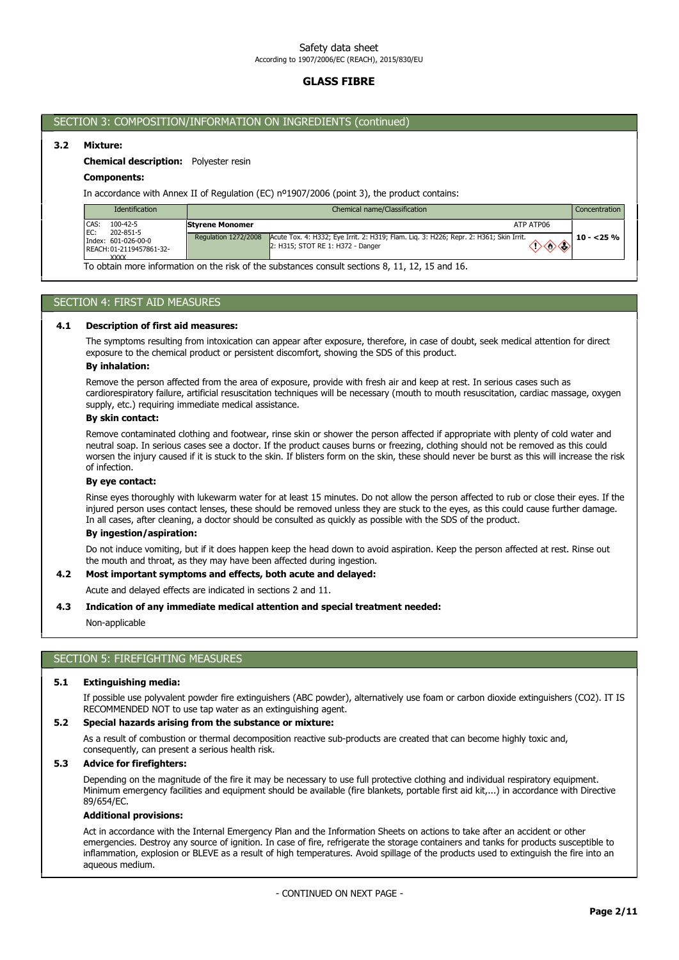# GLASS FIBRE

# SECTION 3: COMPOSITION/INFORMATION ON INGREDIENTS (continued)

# 3.2 Mixture:

### Chemical description: Polyester resin

## Components:

In accordance with Annex II of Regulation (EC) nº1907/2006 (point 3), the product contains:

| <b>Identification</b>                                             |                                                | Chemical name/Classification                                                                        | Concentration. |
|-------------------------------------------------------------------|------------------------------------------------|-----------------------------------------------------------------------------------------------------|----------------|
| CAS:<br>$100 - 42 - 5$<br>EC:<br>202-851-5<br>Index: 601-026-00-0 | <b>Styrene Monomer</b><br>Regulation 1272/2008 | ATP ATP06<br>Acute Tox. 4: H332; Eye Irrit. 2: H319; Flam. Lig. 3: H226; Repr. 2: H361; Skin Irrit. | $10 - 25 \%$   |
| REACH: 01-2119457861-32-<br>XXXX                                  |                                                | 2: H315; STOT RE 1: H372 - Danger                                                                   |                |

To obtain more information on the risk of the substances consult sections 8, 11, 12, 15 and 16.

# SECTION 4: FIRST AID MEASURES

#### 4.1 Description of first aid measures:

The symptoms resulting from intoxication can appear after exposure, therefore, in case of doubt, seek medical attention for direct exposure to the chemical product or persistent discomfort, showing the SDS of this product.

### By inhalation:

Remove the person affected from the area of exposure, provide with fresh air and keep at rest. In serious cases such as cardiorespiratory failure, artificial resuscitation techniques will be necessary (mouth to mouth resuscitation, cardiac massage, oxygen supply, etc.) requiring immediate medical assistance.

## By skin contact:

Remove contaminated clothing and footwear, rinse skin or shower the person affected if appropriate with plenty of cold water and neutral soap. In serious cases see a doctor. If the product causes burns or freezing, clothing should not be removed as this could worsen the injury caused if it is stuck to the skin. If blisters form on the skin, these should never be burst as this will increase the risk of infection.

#### By eye contact:

Rinse eyes thoroughly with lukewarm water for at least 15 minutes. Do not allow the person affected to rub or close their eyes. If the injured person uses contact lenses, these should be removed unless they are stuck to the eyes, as this could cause further damage. In all cases, after cleaning, a doctor should be consulted as quickly as possible with the SDS of the product.

### By ingestion/aspiration:

Do not induce vomiting, but if it does happen keep the head down to avoid aspiration. Keep the person affected at rest. Rinse out the mouth and throat, as they may have been affected during ingestion.

### 4.2 Most important symptoms and effects, both acute and delayed:

Acute and delayed effects are indicated in sections 2 and 11.

#### 4.3 Indication of any immediate medical attention and special treatment needed:

Non-applicable

## SECTION 5: FIREFIGHTING MEASURES

### 5.1 Extinguishing media:

If possible use polyvalent powder fire extinguishers (ABC powder), alternatively use foam or carbon dioxide extinguishers (CO2). IT IS RECOMMENDED NOT to use tap water as an extinguishing agent.

#### 5.2 Special hazards arising from the substance or mixture:

As a result of combustion or thermal decomposition reactive sub-products are created that can become highly toxic and, consequently, can present a serious health risk.

### 5.3 Advice for firefighters:

Depending on the magnitude of the fire it may be necessary to use full protective clothing and individual respiratory equipment. Minimum emergency facilities and equipment should be available (fire blankets, portable first aid kit,...) in accordance with Directive 89/654/EC.

#### Additional provisions:

Act in accordance with the Internal Emergency Plan and the Information Sheets on actions to take after an accident or other emergencies. Destroy any source of ignition. In case of fire, refrigerate the storage containers and tanks for products susceptible to inflammation, explosion or BLEVE as a result of high temperatures. Avoid spillage of the products used to extinguish the fire into an aqueous medium.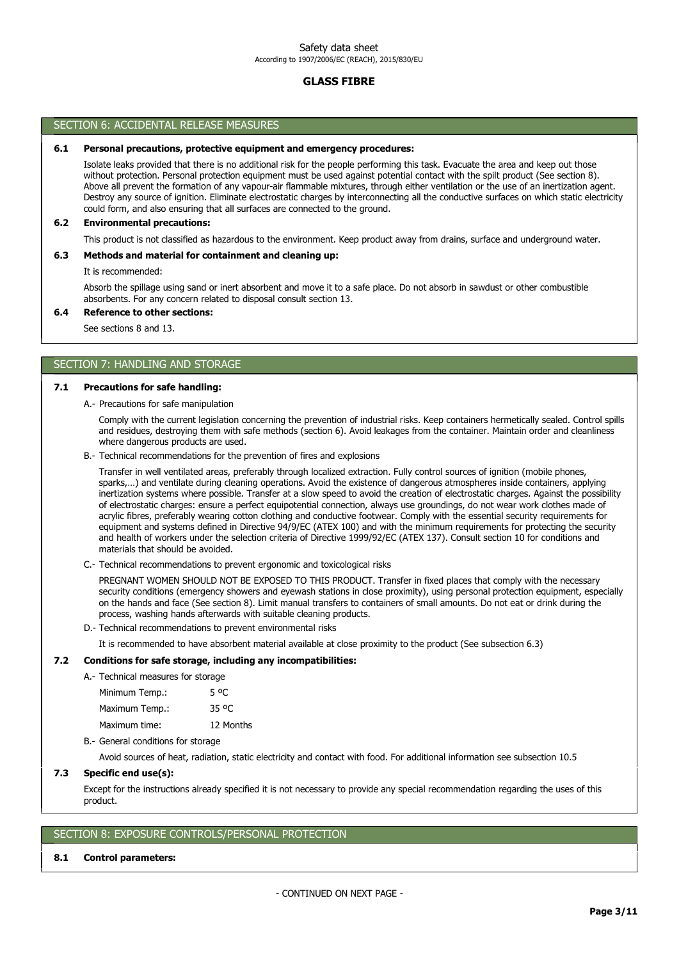# GLASS FIBRE

### SECTION 6: ACCIDENTAL RELEASE MEASURES

#### 6.1 Personal precautions, protective equipment and emergency procedures:

Isolate leaks provided that there is no additional risk for the people performing this task. Evacuate the area and keep out those without protection. Personal protection equipment must be used against potential contact with the spilt product (See section 8). Above all prevent the formation of any vapour-air flammable mixtures, through either ventilation or the use of an inertization agent. Destroy any source of ignition. Eliminate electrostatic charges by interconnecting all the conductive surfaces on which static electricity could form, and also ensuring that all surfaces are connected to the ground.

#### 6.2 Environmental precautions:

This product is not classified as hazardous to the environment. Keep product away from drains, surface and underground water.

## 6.3 Methods and material for containment and cleaning up:

It is recommended:

Absorb the spillage using sand or inert absorbent and move it to a safe place. Do not absorb in sawdust or other combustible absorbents. For any concern related to disposal consult section 13.

#### 6.4 Reference to other sections:

See sections 8 and 13.

# SECTION 7: HANDLING AND STORAGE

## 7.1 Precautions for safe handling:

A.- Precautions for safe manipulation

Comply with the current legislation concerning the prevention of industrial risks. Keep containers hermetically sealed. Control spills and residues, destroying them with safe methods (section 6). Avoid leakages from the container. Maintain order and cleanliness where dangerous products are used.

B.- Technical recommendations for the prevention of fires and explosions

Transfer in well ventilated areas, preferably through localized extraction. Fully control sources of ignition (mobile phones, sparks,…) and ventilate during cleaning operations. Avoid the existence of dangerous atmospheres inside containers, applying inertization systems where possible. Transfer at a slow speed to avoid the creation of electrostatic charges. Against the possibility of electrostatic charges: ensure a perfect equipotential connection, always use groundings, do not wear work clothes made of acrylic fibres, preferably wearing cotton clothing and conductive footwear. Comply with the essential security requirements for equipment and systems defined in Directive 94/9/EC (ATEX 100) and with the minimum requirements for protecting the security and health of workers under the selection criteria of Directive 1999/92/EC (ATEX 137). Consult section 10 for conditions and materials that should be avoided.

C.- Technical recommendations to prevent ergonomic and toxicological risks

PREGNANT WOMEN SHOULD NOT BE EXPOSED TO THIS PRODUCT. Transfer in fixed places that comply with the necessary security conditions (emergency showers and eyewash stations in close proximity), using personal protection equipment, especially on the hands and face (See section 8). Limit manual transfers to containers of small amounts. Do not eat or drink during the process, washing hands afterwards with suitable cleaning products.

D.- Technical recommendations to prevent environmental risks

It is recommended to have absorbent material available at close proximity to the product (See subsection 6.3)

#### 7.2 Conditions for safe storage, including any incompatibilities:

# A.- Technical measures for storage

Minimum Temp.: 5 °C

Maximum Temp.: 35 ºC

Maximum time: 12 Months

B.- General conditions for storage

Avoid sources of heat, radiation, static electricity and contact with food. For additional information see subsection 10.5

#### 7.3 Specific end use(s):

Except for the instructions already specified it is not necessary to provide any special recommendation regarding the uses of this product.

# SECTION 8: EXPOSURE CONTROLS/PERSONAL PROTECTION

#### 8.1 Control parameters: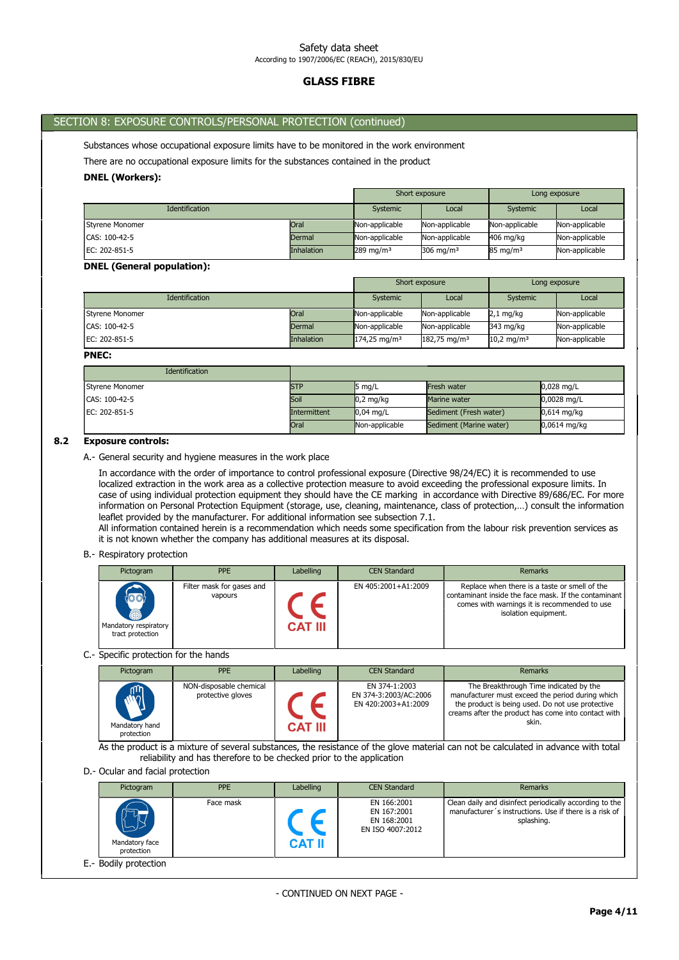# GLASS FIBRE

# SECTION 8: EXPOSURE CONTROLS/PERSONAL PROTECTION (continued)

Substances whose occupational exposure limits have to be monitored in the work environment

There are no occupational exposure limits for the substances contained in the product

### DNEL (Workers):

|                       |               | Short exposure          |                | Long exposure       |                |
|-----------------------|---------------|-------------------------|----------------|---------------------|----------------|
| <b>Identification</b> |               | Systemic                | Local          | Systemic            | Local          |
| Styrene Monomer       | <b>Oral</b>   | Non-applicable          | Non-applicable | Non-applicable      | Non-applicable |
| CAS: 100-42-5         | <b>Dermal</b> | Non-applicable          | Non-applicable | 406 mg/kg           | Non-applicable |
| EC: 202-851-5         | Inhalation    | $289$ mg/m <sup>3</sup> | 306 mg/m $3$   | $85 \text{ mg/m}^3$ | Non-applicable |

### DNEL (General population):

|                       |                   | Short exposure          |                         | Long exposure          |                |
|-----------------------|-------------------|-------------------------|-------------------------|------------------------|----------------|
| <b>Identification</b> |                   | Systemic                | Local                   | Systemic               | Local          |
| Styrene Monomer       | <b>Oral</b>       | Non-applicable          | Non-applicable          | $2,1$ mg/kg            | Non-applicable |
| CAS: 100-42-5         | Dermal            | Non-applicable          | Non-applicable          | 343 mg/kg              | Non-applicable |
| EC: 202-851-5         | <b>Inhalation</b> | $174,25 \text{ mg/m}^3$ | $182,75 \text{ mg/m}^3$ | 10,2 mg/m <sup>3</sup> | Non-applicable |

#### PNEC:

| Identification  |                     |                     |                         |                |
|-----------------|---------------------|---------------------|-------------------------|----------------|
| Styrene Monomer | <b>STP</b>          | $5 \text{ mg/L}$    | Fresh water             | $0.028$ mg/L   |
| CAS: 100-42-5   | Soil                | $0.2 \text{ mg/kg}$ | Marine water            | $0,0028$ mg/L  |
| EC: 202-851-5   | <b>Intermittent</b> | $0.04$ ma/L         | Sediment (Fresh water)  | $0.614$ mg/kg  |
|                 | <b>Oral</b>         | Non-applicable      | Sediment (Marine water) | $0.0614$ mg/kg |

# 8.2 Exposure controls:

A.- General security and hygiene measures in the work place

In accordance with the order of importance to control professional exposure (Directive 98/24/EC) it is recommended to use localized extraction in the work area as a collective protection measure to avoid exceeding the professional exposure limits. In case of using individual protection equipment they should have the CE marking in accordance with Directive 89/686/EC. For more information on Personal Protection Equipment (storage, use, cleaning, maintenance, class of protection,…) consult the information leaflet provided by the manufacturer. For additional information see subsection 7.1.

All information contained herein is a recommendation which needs some specification from the labour risk prevention services as it is not known whether the company has additional measures at its disposal.

#### B.- Respiratory protection

| Pictogram                                              | <b>PPE</b>                           | Labelling      | <b>CEN Standard</b> | Remarks                                                                                                                                                                       |
|--------------------------------------------------------|--------------------------------------|----------------|---------------------|-------------------------------------------------------------------------------------------------------------------------------------------------------------------------------|
| 1001<br>5<br>Mandatory respiratory<br>tract protection | Filter mask for gases and<br>vapours | <b>CAT III</b> | EN 405:2001+A1:2009 | Replace when there is a taste or smell of the<br>contaminant inside the face mask. If the contaminant<br>comes with warnings it is recommended to use<br>isolation equipment. |

C.- Specific protection for the hands

| Pictogram                                      | <b>PPE</b>                                   | Labelling      | <b>CEN Standard</b>                                           | Remarks                                                                                                                                                                                                        |
|------------------------------------------------|----------------------------------------------|----------------|---------------------------------------------------------------|----------------------------------------------------------------------------------------------------------------------------------------------------------------------------------------------------------------|
| <b>Replace</b><br>Mandatory hand<br>protection | NON-disposable chemical<br>protective gloves | <b>CAT III</b> | EN 374-1:2003<br>EN 374-3:2003/AC:2006<br>EN 420:2003+A1:2009 | The Breakthrough Time indicated by the<br>manufacturer must exceed the period during which<br>the product is being used. Do not use protective<br>creams after the product has come into contact with<br>skin. |

As the product is a mixture of several substances, the resistance of the glove material can not be calculated in advance with total reliability and has therefore to be checked prior to the application

D.- Ocular and facial protection

| Pictogram                          | <b>PPE</b> | Labelling     | <b>CEN Standard</b>                                           | <b>Remarks</b>                                                                                                                  |
|------------------------------------|------------|---------------|---------------------------------------------------------------|---------------------------------------------------------------------------------------------------------------------------------|
| رب<br>Mandatory face<br>protection | Face mask  | <b>CAT II</b> | EN 166:2001<br>EN 167:2001<br>EN 168:2001<br>EN ISO 4007:2012 | Clean daily and disinfect periodically according to the<br>manufacturer's instructions. Use if there is a risk of<br>splashing. |
| E.- Bodily protection              |            |               |                                                               |                                                                                                                                 |

- CONTINUED ON NEXT PAGE -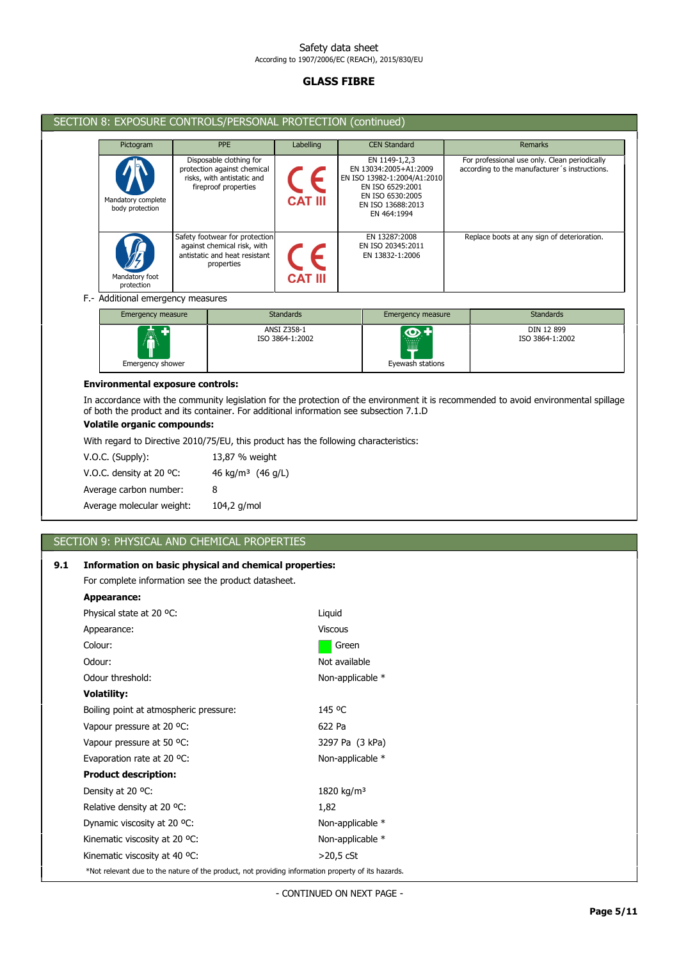# GLASS FIBRE

| SECTION 8: EXPOSURE CONTROLS/PERSONAL PROTECTION (continued) |                                                                                                              |                |                                                                                                                                                   |                                                                                                |  |
|--------------------------------------------------------------|--------------------------------------------------------------------------------------------------------------|----------------|---------------------------------------------------------------------------------------------------------------------------------------------------|------------------------------------------------------------------------------------------------|--|
| Pictogram                                                    | <b>PPE</b>                                                                                                   | Labelling      | <b>CEN Standard</b>                                                                                                                               | <b>Remarks</b>                                                                                 |  |
| Mandatory complete<br>body protection                        | Disposable clothing for<br>protection against chemical<br>risks, with antistatic and<br>fireproof properties | <b>CAT III</b> | EN 1149-1,2,3<br>EN 13034:2005+A1:2009<br>EN ISO 13982-1:2004/A1:2010<br>EN ISO 6529:2001<br>EN ISO 6530:2005<br>EN ISO 13688:2013<br>EN 464:1994 | For professional use only. Clean periodically<br>according to the manufacturer's instructions. |  |
| Mandatory foot<br>protection                                 | Safety footwear for protection<br>against chemical risk, with<br>antistatic and heat resistant<br>properties | <b>CAT III</b> | EN 13287:2008<br>EN ISO 20345:2011<br>EN 13832-1:2006                                                                                             | Replace boots at any sign of deterioration.                                                    |  |

# F.- Additional emergency measures

| Emergency measure                           | <b>Standards</b>               | Emergency measure | <b>Standards</b>              |
|---------------------------------------------|--------------------------------|-------------------|-------------------------------|
| $\hat{\bm{\Phi}}$<br>т.<br>Emergency shower | ANSI Z358-1<br>ISO 3864-1:2002 | Eyewash stations  | DIN 12 899<br>ISO 3864-1:2002 |

### Environmental exposure controls:

In accordance with the community legislation for the protection of the environment it is recommended to avoid environmental spillage of both the product and its container. For additional information see subsection 7.1.D

# Volatile organic compounds:

With regard to Directive 2010/75/EU, this product has the following characteristics:

| V.O.C. (Supply):          | 13,87 % weight                |
|---------------------------|-------------------------------|
| V.O.C. density at 20 °C:  | 46 kg/m <sup>3</sup> (46 g/L) |
| Average carbon number:    | 8                             |
| Average molecular weight: | $104,2$ g/mol                 |

# SECTION 9: PHYSICAL AND CHEMICAL PROPERTIES

# 9.1 Information on basic physical and chemical properties:

For complete information see the product datasheet.

| Appearance:                                                                                        |                        |  |  |
|----------------------------------------------------------------------------------------------------|------------------------|--|--|
| Physical state at 20 °C:                                                                           | Liquid                 |  |  |
| Appearance:                                                                                        | <b>Viscous</b>         |  |  |
| Colour:                                                                                            | Green                  |  |  |
| Odour:                                                                                             | Not available          |  |  |
| Odour threshold:                                                                                   | Non-applicable *       |  |  |
| <b>Volatility:</b>                                                                                 |                        |  |  |
| Boiling point at atmospheric pressure:                                                             | 145 °C                 |  |  |
| Vapour pressure at 20 °C:                                                                          | 622 Pa                 |  |  |
| Vapour pressure at 50 °C:                                                                          | 3297 Pa (3 kPa)        |  |  |
| Evaporation rate at 20 °C:                                                                         | Non-applicable *       |  |  |
| <b>Product description:</b>                                                                        |                        |  |  |
| Density at 20 °C:                                                                                  | 1820 kg/m <sup>3</sup> |  |  |
| Relative density at 20 °C:                                                                         | 1,82                   |  |  |
| Dynamic viscosity at 20 °C:                                                                        | Non-applicable *       |  |  |
| Kinematic viscosity at 20 °C:                                                                      | Non-applicable *       |  |  |
| Kinematic viscosity at 40 °C:                                                                      | $>$ 20,5 $c$ St        |  |  |
| *Not relevant due to the nature of the product, not providing information property of its hazards. |                        |  |  |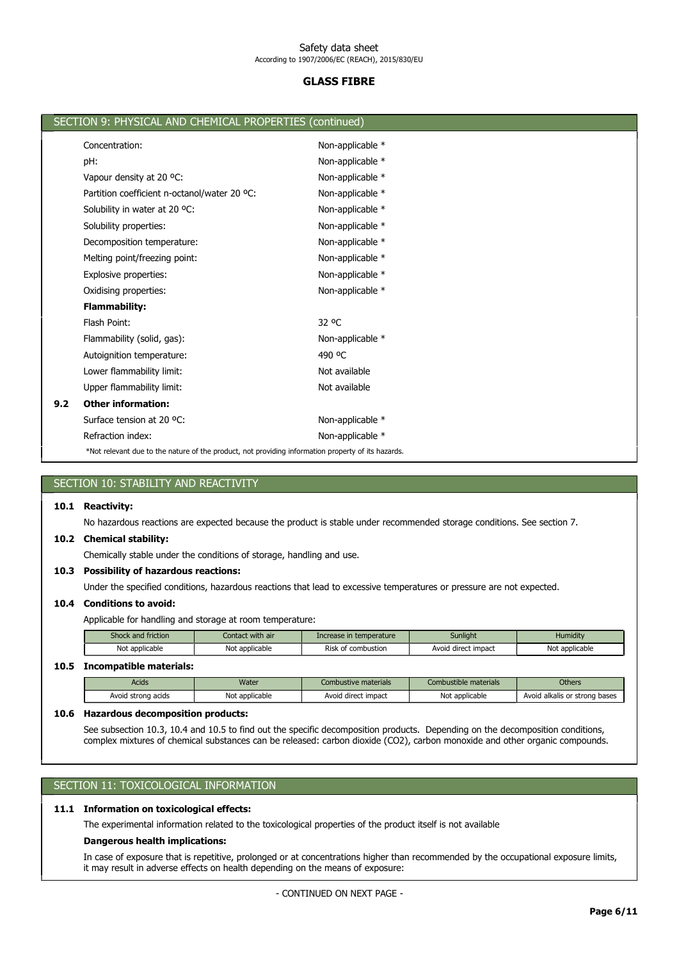# GLASS FIBRE

|     | SECTION 9: PHYSICAL AND CHEMICAL PROPERTIES (continued)                                            |                  |
|-----|----------------------------------------------------------------------------------------------------|------------------|
|     | Concentration:                                                                                     | Non-applicable * |
|     | pH:                                                                                                | Non-applicable * |
|     | Vapour density at 20 °C:                                                                           | Non-applicable * |
|     | Partition coefficient n-octanol/water 20 °C:                                                       | Non-applicable * |
|     | Solubility in water at 20 °C:                                                                      | Non-applicable * |
|     | Solubility properties:                                                                             | Non-applicable * |
|     | Decomposition temperature:                                                                         | Non-applicable * |
|     | Melting point/freezing point:                                                                      | Non-applicable * |
|     | Explosive properties:                                                                              | Non-applicable * |
|     | Oxidising properties:                                                                              | Non-applicable * |
|     | <b>Flammability:</b>                                                                               |                  |
|     | Flash Point:                                                                                       | 32 °C            |
|     | Flammability (solid, gas):                                                                         | Non-applicable * |
|     | Autoignition temperature:                                                                          | 490 °C           |
|     | Lower flammability limit:                                                                          | Not available    |
|     | Upper flammability limit:                                                                          | Not available    |
| 9.2 | <b>Other information:</b>                                                                          |                  |
|     | Surface tension at 20 °C:                                                                          | Non-applicable * |
|     | Refraction index:                                                                                  | Non-applicable * |
|     | *Not relevant due to the nature of the product, not providing information property of its hazards. |                  |
|     |                                                                                                    |                  |

| SECTION 10: STABILITY AND REACTIVITY                                                                                                                                                                                                                          |                                                                                                                        |                  |                         |                       |                               |  |  |  |
|---------------------------------------------------------------------------------------------------------------------------------------------------------------------------------------------------------------------------------------------------------------|------------------------------------------------------------------------------------------------------------------------|------------------|-------------------------|-----------------------|-------------------------------|--|--|--|
| 10.1<br><b>Reactivity:</b>                                                                                                                                                                                                                                    |                                                                                                                        |                  |                         |                       |                               |  |  |  |
|                                                                                                                                                                                                                                                               | No hazardous reactions are expected because the product is stable under recommended storage conditions. See section 7. |                  |                         |                       |                               |  |  |  |
| 10.2                                                                                                                                                                                                                                                          | <b>Chemical stability:</b>                                                                                             |                  |                         |                       |                               |  |  |  |
|                                                                                                                                                                                                                                                               | Chemically stable under the conditions of storage, handling and use.                                                   |                  |                         |                       |                               |  |  |  |
| <b>Possibility of hazardous reactions:</b><br>10.3                                                                                                                                                                                                            |                                                                                                                        |                  |                         |                       |                               |  |  |  |
|                                                                                                                                                                                                                                                               | Under the specified conditions, hazardous reactions that lead to excessive temperatures or pressure are not expected.  |                  |                         |                       |                               |  |  |  |
| 10.4                                                                                                                                                                                                                                                          | <b>Conditions to avoid:</b>                                                                                            |                  |                         |                       |                               |  |  |  |
|                                                                                                                                                                                                                                                               | Applicable for handling and storage at room temperature:                                                               |                  |                         |                       |                               |  |  |  |
|                                                                                                                                                                                                                                                               | Shock and friction                                                                                                     | Contact with air | Increase in temperature | Sunlight              | Humidity                      |  |  |  |
|                                                                                                                                                                                                                                                               | Not applicable                                                                                                         | Not applicable   | Risk of combustion      | Avoid direct impact   | Not applicable                |  |  |  |
| 10.5                                                                                                                                                                                                                                                          | <b>Incompatible materials:</b>                                                                                         |                  |                         |                       |                               |  |  |  |
|                                                                                                                                                                                                                                                               | <b>Acids</b>                                                                                                           | Water            | Combustive materials    | Combustible materials | <b>Others</b>                 |  |  |  |
|                                                                                                                                                                                                                                                               | Avoid strong acids                                                                                                     | Not applicable   | Avoid direct impact     | Not applicable        | Avoid alkalis or strong bases |  |  |  |
| <b>Hazardous decomposition products:</b><br>10.6                                                                                                                                                                                                              |                                                                                                                        |                  |                         |                       |                               |  |  |  |
| See subsection 10.3, 10.4 and 10.5 to find out the specific decomposition products. Depending on the decomposition conditions,<br>complex mixtures of chemical substances can be released: carbon dioxide (CO2), carbon monoxide and other organic compounds. |                                                                                                                        |                  |                         |                       |                               |  |  |  |

# SECTION 11: TOXICOLOGICAL INFORMATION

# 11.1 Information on toxicological effects:

The experimental information related to the toxicological properties of the product itself is not available

# Dangerous health implications:

In case of exposure that is repetitive, prolonged or at concentrations higher than recommended by the occupational exposure limits, it may result in adverse effects on health depending on the means of exposure: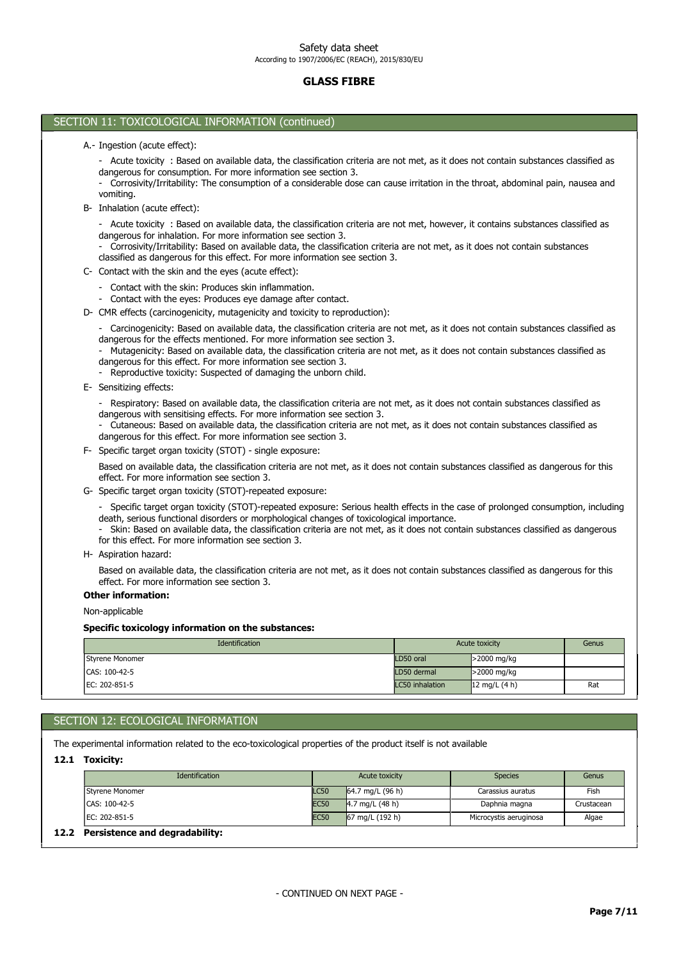# GLASS FIBRE

# SECTION 11: TOXICOLOGICAL INFORMATION (continued) Specific toxicology information on the substances: Non-applicable Other information: Based on available data, the classification criteria are not met, as it does not contain substances classified as dangerous for this effect. For more information see section 3. H- Aspiration hazard: - Specific target organ toxicity (STOT)-repeated exposure: Serious health effects in the case of prolonged consumption, including death, serious functional disorders or morphological changes of toxicological importance. - Skin: Based on available data, the classification criteria are not met, as it does not contain substances classified as dangerous for this effect. For more information see section 3. G- Specific target organ toxicity (STOT)-repeated exposure: Based on available data, the classification criteria are not met, as it does not contain substances classified as dangerous for this effect. For more information see section 3. F- Specific target organ toxicity (STOT) - single exposure: - Respiratory: Based on available data, the classification criteria are not met, as it does not contain substances classified as dangerous with sensitising effects. For more information see section 3. - Cutaneous: Based on available data, the classification criteria are not met, as it does not contain substances classified as dangerous for this effect. For more information see section 3. E- Sensitizing effects: - Carcinogenicity: Based on available data, the classification criteria are not met, as it does not contain substances classified as dangerous for the effects mentioned. For more information see section 3. - Mutagenicity: Based on available data, the classification criteria are not met, as it does not contain substances classified as dangerous for this effect. For more information see section 3. - Reproductive toxicity: Suspected of damaging the unborn child. D- CMR effects (carcinogenicity, mutagenicity and toxicity to reproduction): Contact with the skin: Produces skin inflammation. - Contact with the eyes: Produces eye damage after contact. C- Contact with the skin and the eyes (acute effect): Acute toxicity : Based on available data, the classification criteria are not met, however, it contains substances classified as dangerous for inhalation. For more information see section 3. - Corrosivity/Irritability: Based on available data, the classification criteria are not met, as it does not contain substances classified as dangerous for this effect. For more information see section 3. B- Inhalation (acute effect): - Acute toxicity : Based on available data, the classification criteria are not met, as it does not contain substances classified as dangerous for consumption. For more information see section 3. - Corrosivity/Irritability: The consumption of a considerable dose can cause irritation in the throat, abdominal pain, nausea and vomiting. A.- Ingestion (acute effect): **Identification Acute toxicity** Genus **Contraction Genus** CAS: 100-42-5 LD50 dermal >2000 mg/kg Styrene Monomer 2000 mg/kg and the styrene Monomer 2000 mg/kg and the styrene Monomer 2000 mg/kg and the styrene Monomer 2000 mg/kg and the styrene Monomer 2000 mg/kg and the styrene Monomer 2000 mg/kg and the styrene Mono

# SECTION 12: ECOLOGICAL INFORMATION

The experimental information related to the eco-toxicological properties of the product itself is not available

12.1 Toxicity:

| Identification                      |             | Acute toxicity     | <b>Species</b>         | Genus      |
|-------------------------------------|-------------|--------------------|------------------------|------------|
| Styrene Monomer                     | <b>LC50</b> | 64.7 mg/L $(96 h)$ | Carassius auratus      | Fish       |
| ICAS: 100-42-5                      | <b>EC50</b> | 4.7 mg/L $(48 h)$  | Daphnia magna          | Crustacean |
| IEC: 202-851-5                      | <b>EC50</b> | 67 mg/L (192 h)    | Microcystis aeruginosa | Algae      |
| 12.2 Persistence and degradability: |             |                    |                        |            |

EC: 202-851-5 LC50 inhalation 12 mg/L (4 h) Rat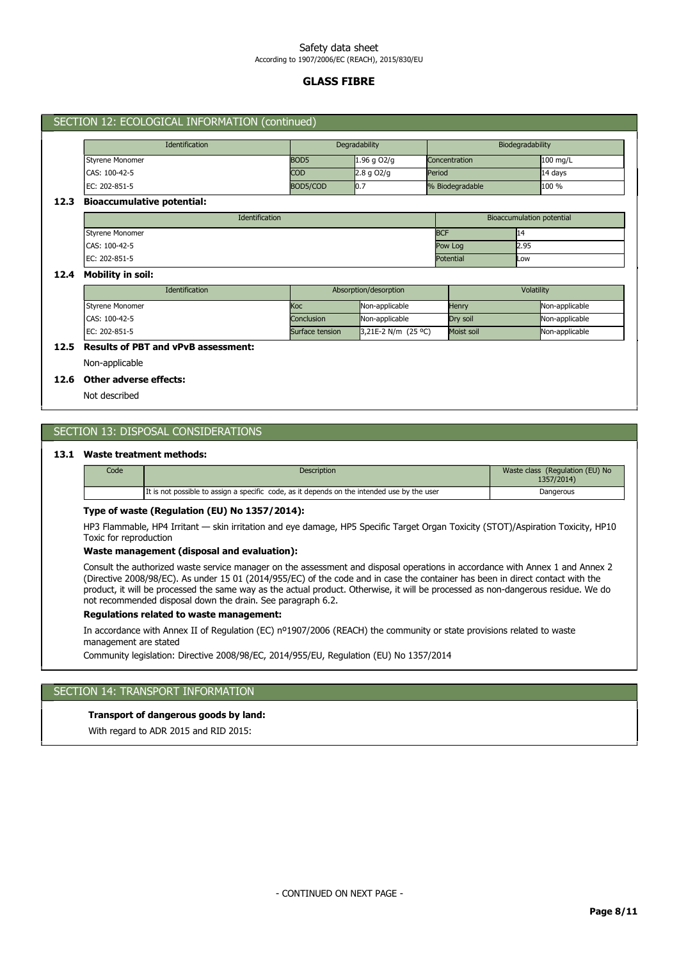# GLASS FIBRE

| <b>Identification</b>             |                  | Degradability |             |        | Biodegradability |      |                                  |
|-----------------------------------|------------------|---------------|-------------|--------|------------------|------|----------------------------------|
| Styrene Monomer                   | BOD <sub>5</sub> |               | 1.96 g O2/g |        | Concentration    |      | 100 mg/L                         |
| CAS: 100-42-5                     | <b>COD</b>       |               | $2.8q$ O2/g | Period |                  |      | $14$ days                        |
| EC: 202-851-5                     |                  | BOD5/COD      | 10.7        |        | % Biodegradable  |      | 100 %                            |
| <b>Bioaccumulative potential:</b> |                  |               |             |        |                  |      |                                  |
|                                   | Identification   |               |             |        |                  |      | <b>Bioaccumulation potential</b> |
|                                   |                  |               |             |        | <b>BCF</b>       | 14   |                                  |
| <b>Styrene Monomer</b>            |                  |               |             |        |                  |      |                                  |
| CAS: 100-42-5                     |                  |               |             |        | Pow Log          | 2.95 |                                  |

| <b>Identification</b> |                 | Absorption/desorption | Volatility |                |  |
|-----------------------|-----------------|-----------------------|------------|----------------|--|
| Styrene Monomer       | lKoc:           | Non-applicable        | Henry      | Non-applicable |  |
| CAS: 100-42-5         | Conclusion      | Non-applicable        | Drv soil   | Non-applicable |  |
| IEC: 202-851-5        | Surface tension | $3.21E-2 N/m (25°C)$  | Moist soil | Non-applicable |  |

# 12.5 Results of PBT and vPvB assessment:

Non-applicable

# 12.6 Other adverse effects:

Not described

# SECTION 13: DISPOSAL CONSIDERATIONS

# 13.1 Waste treatment methods:

| Code | <b>Description</b>                                                                          | Waste class (Regulation (EU) No<br>1357/2014) |
|------|---------------------------------------------------------------------------------------------|-----------------------------------------------|
|      | It is not possible to assign a specific code, as it depends on the intended use by the user | Dangerous                                     |

## Type of waste (Regulation (EU) No 1357/2014):

HP3 Flammable, HP4 Irritant — skin irritation and eye damage, HP5 Specific Target Organ Toxicity (STOT)/Aspiration Toxicity, HP10 Toxic for reproduction

# Waste management (disposal and evaluation):

Consult the authorized waste service manager on the assessment and disposal operations in accordance with Annex 1 and Annex 2 (Directive 2008/98/EC). As under 15 01 (2014/955/EC) of the code and in case the container has been in direct contact with the product, it will be processed the same way as the actual product. Otherwise, it will be processed as non-dangerous residue. We do not recommended disposal down the drain. See paragraph 6.2.

# Regulations related to waste management:

In accordance with Annex II of Regulation (EC) nº1907/2006 (REACH) the community or state provisions related to waste management are stated

Community legislation: Directive 2008/98/EC, 2014/955/EU, Regulation (EU) No 1357/2014

# SECTION 14: TRANSPORT INFORMATION

## Transport of dangerous goods by land:

With regard to ADR 2015 and RID 2015: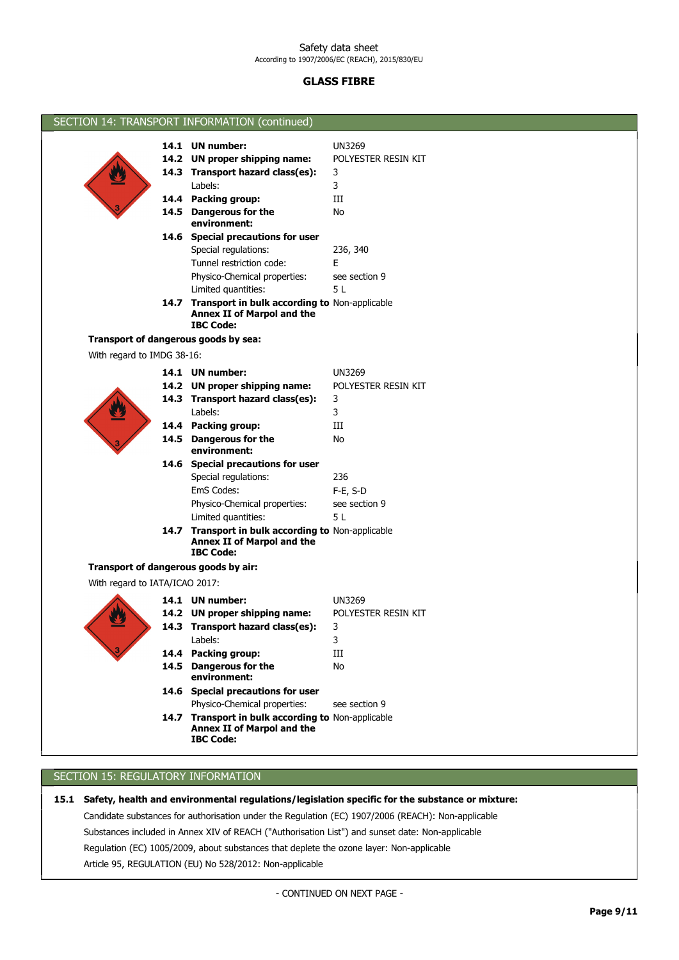# GLASS FIBRE

| SECTION 14: TRANSPORT INFORMATION (continued) |                                                                                                      |                     |  |  |
|-----------------------------------------------|------------------------------------------------------------------------------------------------------|---------------------|--|--|
|                                               | 14.1 UN number:                                                                                      | <b>UN3269</b>       |  |  |
|                                               | 14.2 UN proper shipping name:                                                                        | POLYESTER RESIN KIT |  |  |
|                                               | 14.3 Transport hazard class(es):                                                                     | 3                   |  |  |
|                                               | Labels:                                                                                              | 3                   |  |  |
|                                               | 14.4 Packing group:                                                                                  | Ш                   |  |  |
|                                               | 14.5 Dangerous for the                                                                               | No                  |  |  |
|                                               | environment:                                                                                         |                     |  |  |
|                                               | 14.6 Special precautions for user                                                                    |                     |  |  |
|                                               | Special regulations:                                                                                 | 236, 340            |  |  |
|                                               | Tunnel restriction code:                                                                             | E                   |  |  |
|                                               | Physico-Chemical properties:                                                                         | see section 9       |  |  |
|                                               | Limited quantities:                                                                                  | 5 L                 |  |  |
|                                               | 14.7 Transport in bulk according to Non-applicable                                                   |                     |  |  |
|                                               | Annex II of Marpol and the<br><b>IBC Code:</b>                                                       |                     |  |  |
|                                               | Transport of dangerous goods by sea:                                                                 |                     |  |  |
|                                               |                                                                                                      |                     |  |  |
| With regard to IMDG 38-16:                    |                                                                                                      |                     |  |  |
|                                               | 14.1 UN number:                                                                                      | <b>UN3269</b>       |  |  |
|                                               | 14.2 UN proper shipping name:                                                                        | POLYESTER RESIN KIT |  |  |
|                                               | 14.3 Transport hazard class(es):                                                                     | 3                   |  |  |
|                                               | Labels:                                                                                              | 3                   |  |  |
|                                               | 14.4 Packing group:                                                                                  | Ш                   |  |  |
|                                               | 14.5 Dangerous for the<br>environment:                                                               | No                  |  |  |
|                                               | 14.6 Special precautions for user                                                                    |                     |  |  |
|                                               | Special regulations:                                                                                 | 236                 |  |  |
|                                               | EmS Codes:                                                                                           | F-E, S-D            |  |  |
|                                               | Physico-Chemical properties:                                                                         | see section 9       |  |  |
|                                               | Limited quantities:                                                                                  | 5 L                 |  |  |
|                                               | 14.7 Transport in bulk according to Non-applicable                                                   |                     |  |  |
|                                               | Annex II of Marpol and the                                                                           |                     |  |  |
|                                               | <b>IBC Code:</b>                                                                                     |                     |  |  |
|                                               | Transport of dangerous goods by air:                                                                 |                     |  |  |
| With regard to IATA/ICAO 2017:                |                                                                                                      |                     |  |  |
|                                               | 14.1 UN number:                                                                                      | <b>UN3269</b>       |  |  |
|                                               | 14.2 UN proper shipping name:                                                                        | POLYESTER RESIN KIT |  |  |
|                                               | 14.3 Transport hazard class(es):                                                                     | $\mathbf{3}$        |  |  |
|                                               | Labels:                                                                                              | 3                   |  |  |
|                                               | 14.4 Packing group:                                                                                  | III                 |  |  |
|                                               | 14.5 Dangerous for the<br>environment:                                                               | No                  |  |  |
|                                               | 14.6 Special precautions for user                                                                    |                     |  |  |
|                                               | Physico-Chemical properties:                                                                         | see section 9       |  |  |
|                                               | 14.7 Transport in bulk according to Non-applicable<br>Annex II of Marpol and the<br><b>IBC Code:</b> |                     |  |  |
|                                               |                                                                                                      |                     |  |  |

# SECTION 15: REGULATORY INFORMATION

Article 95, REGULATION (EU) No 528/2012: Non-applicable Regulation (EC) 1005/2009, about substances that deplete the ozone layer: Non-applicable Substances included in Annex XIV of REACH ("Authorisation List") and sunset date: Non-applicable Candidate substances for authorisation under the Regulation (EC) 1907/2006 (REACH): Non-applicable 15.1 Safety, health and environmental regulations/legislation specific for the substance or mixture:

- CONTINUED ON NEXT PAGE -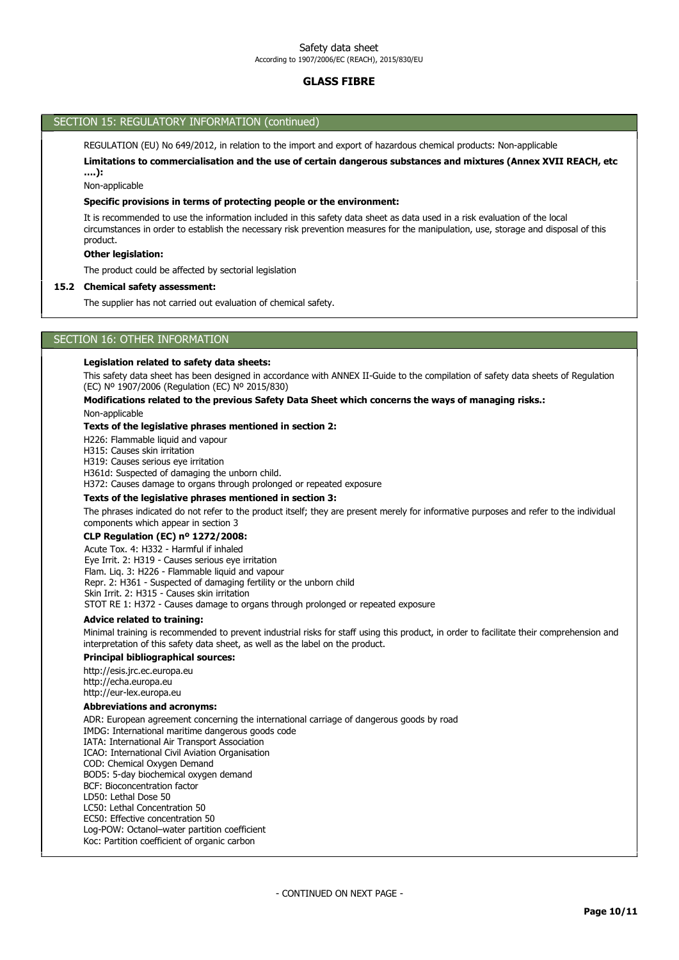# GLASS FIBRE

# SECTION 15: REGULATORY INFORMATION (continued)

REGULATION (EU) No 649/2012, in relation to the import and export of hazardous chemical products: Non-applicable

Limitations to commercialisation and the use of certain dangerous substances and mixtures (Annex XVII REACH, etc ….):

Non-applicable

#### Specific provisions in terms of protecting people or the environment:

It is recommended to use the information included in this safety data sheet as data used in a risk evaluation of the local circumstances in order to establish the necessary risk prevention measures for the manipulation, use, storage and disposal of this product.

## Other legislation:

The product could be affected by sectorial legislation

#### 15.2 Chemical safety assessment:

The supplier has not carried out evaluation of chemical safety.

### SECTION 16: OTHER INFORMATION

#### Legislation related to safety data sheets:

This safety data sheet has been designed in accordance with ANNEX II-Guide to the compilation of safety data sheets of Regulation (EC) Nº 1907/2006 (Regulation (EC) Nº 2015/830)

### Modifications related to the previous Safety Data Sheet which concerns the ways of managing risks.:

Non-applicable

#### Texts of the legislative phrases mentioned in section 2:

H226: Flammable liquid and vapour

H315: Causes skin irritation

H319: Causes serious eye irritation

H361d: Suspected of damaging the unborn child.

H372: Causes damage to organs through prolonged or repeated exposure

#### Texts of the legislative phrases mentioned in section 3:

The phrases indicated do not refer to the product itself; they are present merely for informative purposes and refer to the individual components which appear in section 3

### CLP Regulation (EC) nº 1272/2008:

Acute Tox. 4: H332 - Harmful if inhaled Eye Irrit. 2: H319 - Causes serious eye irritation Flam. Liq. 3: H226 - Flammable liquid and vapour Repr. 2: H361 - Suspected of damaging fertility or the unborn child Skin Irrit. 2: H315 - Causes skin irritation STOT RE 1: H372 - Causes damage to organs through prolonged or repeated exposure

#### Advice related to training:

Minimal training is recommended to prevent industrial risks for staff using this product, in order to facilitate their comprehension and interpretation of this safety data sheet, as well as the label on the product.

# Principal bibliographical sources:

http://esis.jrc.ec.europa.eu http://echa.europa.eu http://eur-lex.europa.eu

#### Abbreviations and acronyms:

ADR: European agreement concerning the international carriage of dangerous goods by road IMDG: International maritime dangerous goods code IATA: International Air Transport Association ICAO: International Civil Aviation Organisation COD: Chemical Oxygen Demand BOD5: 5-day biochemical oxygen demand BCF: Bioconcentration factor LD50: Lethal Dose 50 LC50: Lethal Concentration 50 EC50: Effective concentration 50 Log-POW: Octanol–water partition coefficient Koc: Partition coefficient of organic carbon